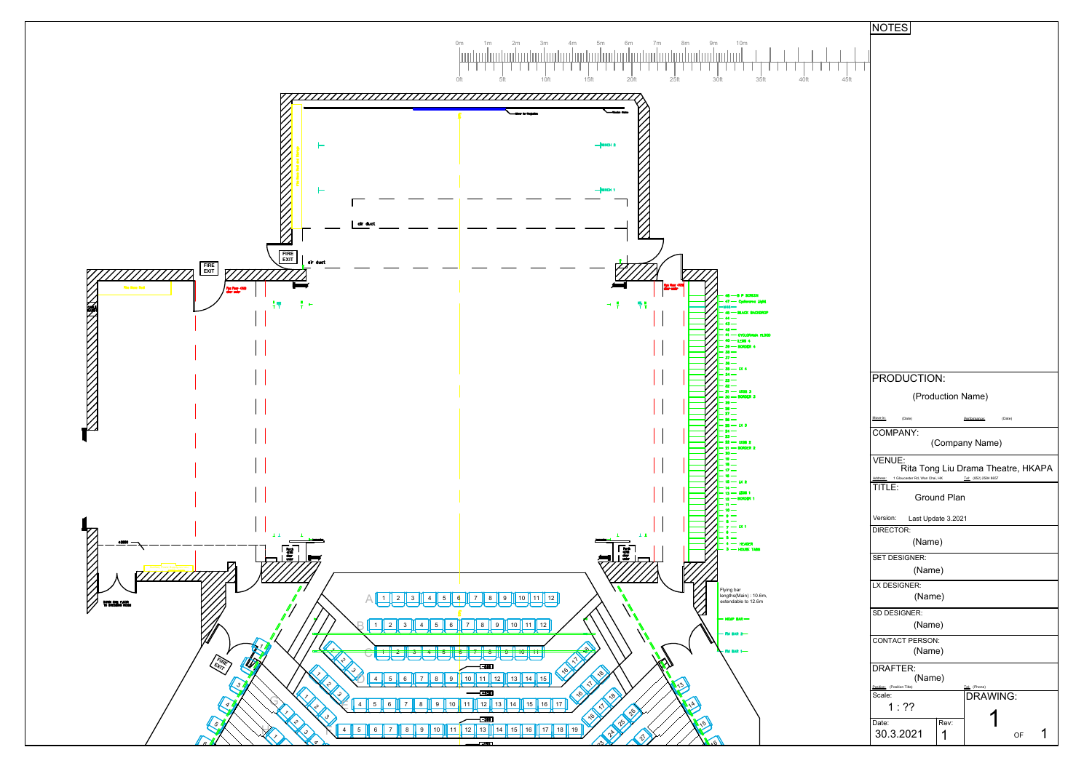